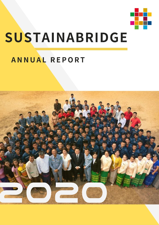

# **SUSTAINABRIDGE**

# **ANNUAL REPORT**

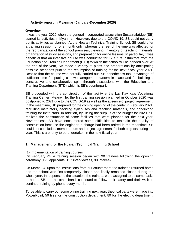# **I. Activity report in Myanmar (January-December 2020)**

#### **Overview**

It was the year 2020 when the general incorporated association Sustainabridge (SB) started its activities in Myanmar. However, due to the COVID-19, SB could not carry out its activities as planned. At the Hpa-an Technical Training School, SB could offer a training session for one month only, whereas the rest of the time was affected for the reorganization of the school premises, cleaning, inventory of teaching materials, organization of study sessions, and preparation for online lessons. In particular, it was beneficial that an intensive course was conducted for 12 future instructors from the Education and Training Department (ETD) to which the school will be handed over. At the end of the year, SB made a variety of plans and preparations by anticipating possible scenarios prior to the resumption of training for the next fiscal year 2021. Despite that the course was not fully carried out, SB nonetheless took advantage of sufficient time for putting a new management system in place and for building a constructive and collaborative spirit through discussions with the Education and Training Department (ETD) which is SB's counterpart.

SB proceeded with the construction of the facility at the Lay Kay Kaw Vocational Training Center. Meanwhile, the first training session planned in October 2020 was postponed to 2021 due to the COVID-19 as well as the absence of project agreement. In the meantime, SB prepared for the coming opening of the center in February 2021; recruiting instructors, deciding syllabuses and teaching materials, and conducting training for instructors. In addition, by using the surplus of the budget for 2020, SB realized the construction of some facilities that were planned for the next year. Nevertheless, SB have encountered some difficulties to maintain the quality of construction because the engineer in charge had been retired in the meantime. SB could not conclude a memorandum and project agreement for both projects during the year. This is a priority to be undertaken in the next fiscal year.

# **1. Management for the Hpa-an Technical Training School**

(1) Implementation of training courses

On February 24, a training session began with 90 trainees following the opening ceremony (193 applicants, 157 interviewees, 90 intakes).

On March 24, upon the instructions from our counterpart, the trainees returned home and the school was first temporarily closed and finally remained closed during the whole year. In response to the situation, the trainees were assigned to do some tasks at home. SB, on the other hand, continued to follow their safety and their wish to continue training by phone every month.

To be able to carry our some online training next year, theorical parts were made into PowerPoint; 50 files for the construction department, 89 for the electric department,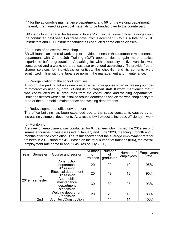44 for the automobile maintenance department, and 56 for the welding department. In the end, it remained as practical materials to be handed over to the counterpart.

SB instructors prepared for lessons in PowerPoint so that some online trainings could be conducted next year. For three days, from December 16 to 18, a total of 17 SB instructors and ETD instructor candidates conducted demo online classes.

#### (2) Launch of an external workshop

SB will launch an external workshop to provide trainees in the automobile maintenance department with On-the-Job Training (OJT) opportunities to gain more practical experience before graduation. A parking lot with a capacity of five vehicles was constructed and a workshop area was also expanded accordingly. To provide free of charge services for individuals or entities, the checklist and its contents were scrutinized in line with the Japanese norm in the management and maintenance.

#### (3) Reorganization of the school premises

A motor bike parking lot was newly established in response to an increasing number of motorcycles used by both SB and its counterpart staff. It worth mentioning that it was constructed by 10 graduates from the construction and welding departments. Drainage ditches were also installed around dormitories and on the workshop backyard area of the automobile maintenance and welding departments.

#### (4) Redevelopment of office environment

The office building has been expanded due to the space constraints caused by an increasing volume of documents. As a result, it will expect to increase efficiency in work.

#### (5) Monitoring

A survey on employment was conducted for 64 trainees who finished the 2019 second semester course. It was assessed in January and June 2020, meaning 1 month and 6 months after the completion. The result showed that the average employment rate for trainees in 2019 stood at 94%. Based on the total number of trainees (836), the overall employment rate came to about 84% (as of July 2020).

| Year | Semester        | Course and session                                                 | <b>Number</b><br>οf<br>trainees | <b>Number</b><br>οf<br>graduates | Number of<br>employees | Employment<br>rate |
|------|-----------------|--------------------------------------------------------------------|---------------------------------|----------------------------------|------------------------|--------------------|
|      | 1st<br>semester | Construction<br>department<br>9 <sup>th</sup> session              | 20                              | 20                               | 19                     | 95%                |
|      |                 | <b>Electrical department</b><br>9 <sup>th</sup> session            | 20                              | 19                               | 18                     | 95%                |
| 2019 |                 | Automobile<br>maintenance<br>department<br>8 <sup>th</sup> session | 30                              | 30                               | 28                     | 93%                |
|      |                 | <b>Welding department</b><br>7 <sup>th</sup> session               | 20                              | 20                               | 16                     | 80%                |
|      | 2 <sub>nd</sub> | Architect/Construction                                             | 14                              | 14                               | 14                     | 100%               |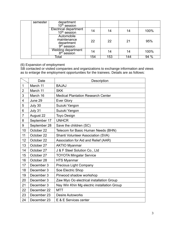| semester | department<br>$10th$ session                                       |     |     |     |      |
|----------|--------------------------------------------------------------------|-----|-----|-----|------|
|          | Electrical department<br>10 <sup>th</sup> session                  | 14  | 14  | 14  | 100% |
|          | Automobile<br>maintenance<br>department<br>9 <sup>th</sup> session | 22  | 22  | 21  | 95%  |
|          | Welding department<br>8 <sup>th</sup> session                      | 14  | 14  | 14  | 100% |
|          | Total                                                              | 154 | 153 | 144 | 94%  |

#### (6) Expansion of employment

SB contacted or visited companies and organizations to exchange information and views as to enlarge the employment opportunities for the trainees. Details are as follows:

|                | Date         | Description                                 |
|----------------|--------------|---------------------------------------------|
| $\mathbf{1}$   | March 11     | <b>BAJAJ</b>                                |
| $\overline{2}$ | March 11     | <b>SKK</b>                                  |
| 3              | March 16     | <b>Medical Plantation Research Center</b>   |
| $\overline{4}$ | June 29      | <b>Ever Glory</b>                           |
| 5              | July 30      | Suzuki Yangon                               |
| 6              | July 31      | Suzuki Yangon                               |
| $\overline{7}$ | August 22    | <b>Toyo Design</b>                          |
| 8              | September 17 | <b>UNHCR</b>                                |
| 9              | September 28 | Save the children (SC)                      |
| 10             | October 22   | Telecom for Basic Human Needs (BHN)         |
| 11             | October 22   | <b>Shanti Volunteer Association (SVA)</b>   |
| 12             | October 22   | Association for Aid and Relief (AAR)        |
| 13             | October 27   | <b>AKTIO Myanmar</b>                        |
| 14             | October 27   | J & F Steel Solution Co., Ltd               |
| 15             | October 27   | <b>TOYOTA Mingalar Service</b>              |
| 16             | October 28   | <b>HTS Myanmar</b>                          |
| 17             | December 3   | <b>Precious Light Company</b>               |
| 18             | December 3   | Soe Electric Shop                           |
| 19             | December 3   | Pinwood shadow workshop                     |
| 20             | December 3   | Zaw Myo Oo electrical installation Group    |
| 21             | December 3   | Nay Win Khin Mg electric installation Group |
| 22             | December 22  | <b>MTT</b>                                  |
| 23             | December 23  | <b>Desire Autoworks</b>                     |
| 24             | December 23  | E & E Services center                       |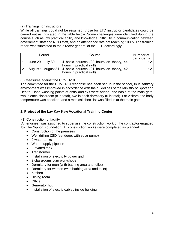# (7) Trainings for instructors

While all trainings could not be resumed, those for ETD instructor candidates could be carried out as indicated in the table below. Some challenges were identified during the course such as low practical ability and knowledge, difficulty in communication between government staff and NGO staff, and an attendance rate not reaching 100%. The training report was submitted to the director general of the ETD accordingly.

| Period            | Course                                                                                       | Number of<br>participants |
|-------------------|----------------------------------------------------------------------------------------------|---------------------------|
| June 29 - July 30 | 4 basic courses (22 hours on theory, 44<br>hours in practical skill)                         |                           |
|                   | August 1 -August 31   4 basic courses (21 hours on theory, 42  <br>hours in practical skill) |                           |

(8) Measures against the COVID-19

The committee for the COVID-19 response has been set up in the school, thus sanitary environment was improved in accordance with the guidelines of the Ministry of Sport and Health. Hand washing points at entry and exit were added; one basin at the main gate, two in each classroom (8 in total), two in each dormitory (6 in total). For visitors, the body temperature was checked, and a medical checklist was filled in at the main gate.

# **2. Project of the Lay Kay Kaw Vocational Training Center**

(1) Construction of facility

An engineer was assigned to supervise the construction work of the contractor engaged by The Nippon Foundation. All construction works were completed as planned:

- Construction of the premises
- Well drilling (280 feet deep, with solar pump)
- 2 water tanks
- Water supply pipeline
- Elevated tank
- Transformer
- Installation of electricity power grid
- 2 classrooms cum workshops
- Dormitory for men (with bathing area and toilet)
- Dormitory for women (with bathing area and toilet)
- Kitchen
- Dining room
- Office
- Generator hut
- Installation of electric cables inside building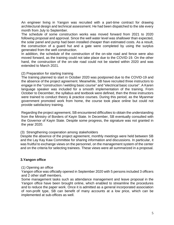An engineer living in Yangon was recruited with a part-time contract for drawing architectural design and technical assessment. He had been dispatched to the site every month from July to September.

The schedule of some construction works was moved forward from 2021 to 2020 following proposal and approval. Since the well water level was shallower than expected, the solar panel and pump had been installed cheaper than estimated costs. As a result, the construction of a guard hut and a gate were completed by using the surplus generated from the well construction.

In addition, the schedule of the construction of the on-site road and fence were also moved forward, as the training could not take place due to the COVID-19. On the other hand, the construction of the on-site road could not be started within 2020 and was extended to March 2021.

#### (2) Preparation for starting training

The training planned to start in October 2020 was postponed due to the COVID-19 and the absence of the project agreement. Meanwhile, SB have recruited three instructors to engage in the "construction / welding basic course" and "electrical basic course". A Karen language speaker was included for a smooth implementation of the training. From October to December, the syllabus and textbook were defined, then the three instructors were trained to conduct theory & practice courses. During this period, as the Myanmar government promoted work from home, the course took place online but could not provide satisfactory training.

Regarding the project agreement, SB encountered difficulties to obtain the understanding from the Ministry of Borders of Kayin State. In December, SB eventually consulted with the Governor of Kayin State. Despite some progress, the signature was not granted in the year 2020.

# (3) Strengthening cooperation among stakeholders

Despite the absence of the project agreement, monthly meetings were held between SB and the Lay Kay Kaw Committee for sharing information and discussions. In particular, it was fruitful to exchange views on the personnel, on the management system of the center and on the criteria for selecting trainees. These views were all summarized in a proposal.

# **3.Yangon office**

#### (1) Opening an office

Yangon office was officially opened in September 2020 with 5 persons included 3 officers and 2 other staff members.

Some management tasks such as attendance management and leave proposal in the Yangon office have been brought online, which enabled to streamline the procedures and to reduce the paper work. Once it is admitted as a general incorporated association of non-profit type, SB can benefit of many accounts at a low price, which can be implemented at sub-offices as well.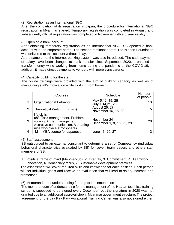#### (2) Registration as an International NGO

After the completion of its registration in Japan, the procedure for international NGO registration in Myanmar started. Temporary registration was completed in August, and subsequently official registration was completed in November with a 5 year validity.

# (3) Opening a bank account

After obtaining temporary registration as an International NGO, SB opened a bank account with the corporate name. The second remittance from The Nippon Foundation was delivered to this account without delay.

At the same time, the Internet banking system was also introduced. The cash payment of salary have been changed to bank transfer since September 2020. It enabled to transfer money while working from home during the pandemic of the COVID-19. In addition, it made direct payments to vendors with more transparency.

## (4) Capacity building for the staff

The online trainings were provided with the aim of building capacity as well as of maintaining staff's motivation while working from home.

|   | Courses                                                                                                                                         | Schedule                                    | <b>Number</b><br>of people |
|---|-------------------------------------------------------------------------------------------------------------------------------------------------|---------------------------------------------|----------------------------|
|   | <b>Organizational Behavior</b>                                                                                                                  | May 5,12, 19, 26<br>July 7, 14, 21, 28      |                            |
| 2 | <b>Theoretical Writing (English)</b>                                                                                                            | <b>August 26, 27</b><br>November 16, 18, 20 |                            |
| 3 | life skills<br>(5S, Task management, Problem<br>solving, Anger management,<br>Accretive communication, A creating<br>nice workplace atmosphere) | November 24<br>December 1, 8, 15, 22, 29    | 20                         |
| 4 | Mini-MBA course for Japanese                                                                                                                    | June 13, 20, 27                             |                            |

#### (5) Staff assessment

SB outsourced to an external consultant to determine a set of Competency (individual behavioral characteristics evaluated by SB) for seven team-leaders and others staff members of SB.

1. Positive frame of mind (Mei-Gen-So), 2. Integrity, 3. Commitment, 4. Teamwork, 5. Innovation, 6. Beneficiary focus, 7. Sustainable development practices

The assessment will cover required skills and knowledge for each position. Each person will set individual goals and receive an evaluation that will lead to salary increase and promotions.

(6) Memorandum of understanding for project implementation

The memorandum of understanding for the management of the Hpa-an technical training school is supposed to be signed every December, but the signature in 2020 was not granted due to an additional approval step in Myanmar government structure. The project agreement for the Lay Kay Kaw Vocational Training Center was also not signed either.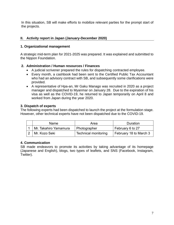In this situation, SB will make efforts to mobilize relevant parties for the prompt start of the projects.

# **II. Activity report in Japan (January-December 2020)**

# **1. Organizational management**

A strategic mid-term plan for 2021-2025 was prepared. It was explained and submitted to the Nippon Foundation.

# **2. Administration / Human resources / Finances**

- A judicial scrivener prepared the rules for dispatching contracted employee.
- Every month, a cashbook had been sent to the Certified Public Tax Accountant who had an advisory contract with SB, and subsequently some clarifications were provided.
- A representative of Hpa-an, Mr Gaku Manago was recruited in 2020 as a project manager and dispatched to Myanmar on January 28. Due to the expiration of his visa as well as the COVID-19, he returned to Japan temporarily on April 8 and worked from Japan during the year 2020.

# **3. Dispatch of experts**

The following experts had been dispatched to launch the project at the formulation stage. However, other technical experts have not been dispatched due to the COVID-19.

|  | Name.                 | Area                        | <b>Duration</b>        |  |
|--|-----------------------|-----------------------------|------------------------|--|
|  | Mr. Takahiro Yamamura | Photographer                | February 6 to 27       |  |
|  | Mr. Kozo Seki         | <b>Technical monitoring</b> | February 18 to March 3 |  |

# **4. Communication**

SB made endeavors to promote its activities by taking advantage of its homepage (Japanese and English), blogs, two types of leaflets, and SNS (Facebook, Instagram, Twitter).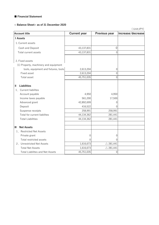#### ■ Financial Statement

#### **< Balance Sheet> as of 31 December 2020**

( Unit:JPY)

| <b>Account title</b>                   | <b>Current year</b> | Previous year       | increase/decrease |  |
|----------------------------------------|---------------------|---------------------|-------------------|--|
| <b>I</b> Assets                        |                     |                     |                   |  |
| 1. Current assets                      |                     |                     |                   |  |
| Cash and Deposit                       | 43,137,831          | 0                   |                   |  |
| Total current assets                   | 43,137,831          | $\mathbf{0}$        |                   |  |
|                                        |                     |                     |                   |  |
| 2. Fixed assets                        |                     |                     |                   |  |
| (1) Property, machinery and equipment  |                     |                     |                   |  |
| tools, equipment and fixtures, tools   | 2,613,204           | 0                   |                   |  |
| Fixed asset                            | 2,613,204           | $\overline{0}$      |                   |  |
| Total asset                            | 45,751,035          | $\mathbf{0}$        |                   |  |
|                                        |                     |                     |                   |  |
| <b>Liabilities</b><br>$\mathbf{I}$     |                     |                     |                   |  |
| 1. Current liabilites                  |                     |                     |                   |  |
| Account payable                        | 4,950               | 4,950               |                   |  |
| Income taxes payable                   | 561,200             | 17,500              |                   |  |
| Advanced grant                         | 42,892,699          | $\Omega$            |                   |  |
| Deposit                                | 416,522             | $\Omega$            |                   |  |
| Suspense receipts                      | 258,991             | 258,991             |                   |  |
| Total for current liabilites           | 44,134,362          | 281,441             |                   |  |
| <b>Total Liabilities</b>               | 44,134,362          | 281,441             |                   |  |
|                                        |                     |                     |                   |  |
| Ш<br><b>Net Assets</b>                 |                     |                     |                   |  |
| 1. Restricted Net Assets               |                     |                     |                   |  |
| Private grant                          | 0                   | 0                   |                   |  |
| Total restricted assets                | $\left( \right)$    | $\Omega$            |                   |  |
| 2. Unrestricted Net Assets             | 1,616,673           | $\triangle$ 281,441 |                   |  |
| <b>Total Net Assets</b>                | 1,616,673           | $\triangle$ 281,441 |                   |  |
| <b>Total Liabilites and Net Assets</b> | 45,751,035          | 0                   |                   |  |